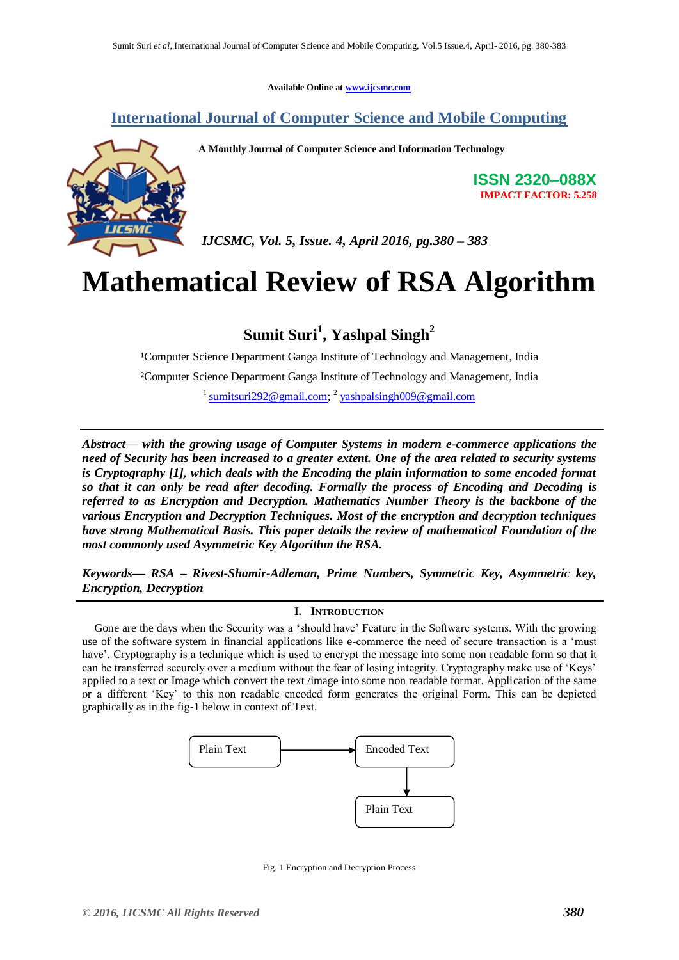**Available Online at [www.ijcsmc.com](http://www.ijcsmc.com/)**

# **International Journal of Computer Science and Mobile Computing**



**A Monthly Journal of Computer Science and Information Technology**

**ISSN 2320–088X IMPACT FACTOR: 5.258**

*IJCSMC, Vol. 5, Issue. 4, April 2016, pg.380 – 383*

# **Mathematical Review of RSA Algorithm**

**Sumit Suri<sup>1</sup> , Yashpal Singh<sup>2</sup>**

<sup>1</sup>Computer Science Department Ganga Institute of Technology and Management, India ²Computer Science Department Ganga Institute of Technology and Management, India <sup>1</sup> [sumitsuri292@gmail.com;](mailto:sumitsuri292@gmail.com) <sup>2</sup> [yashpalsingh009@gmail.com](mailto:yashpalsingh009@gmail.com)

*Abstract— with the growing usage of Computer Systems in modern e-commerce applications the need of Security has been increased to a greater extent. One of the area related to security systems is Cryptography [1], which deals with the Encoding the plain information to some encoded format so that it can only be read after decoding. Formally the process of Encoding and Decoding is referred to as Encryption and Decryption. Mathematics Number Theory is the backbone of the various Encryption and Decryption Techniques. Most of the encryption and decryption techniques have strong Mathematical Basis. This paper details the review of mathematical Foundation of the most commonly used Asymmetric Key Algorithm the RSA.*

*Keywords— RSA – Rivest-Shamir-Adleman, Prime Numbers, Symmetric Key, Asymmetric key, Encryption, Decryption*

## **I. INTRODUCTION**

Gone are the days when the Security was a 'should have' Feature in the Software systems. With the growing use of the software system in financial applications like e-commerce the need of secure transaction is a 'must have'. Cryptography is a technique which is used to encrypt the message into some non readable form so that it can be transferred securely over a medium without the fear of losing integrity. Cryptography make use of 'Keys' applied to a text or Image which convert the text /image into some non readable format. Application of the same or a different 'Key' to this non readable encoded form generates the original Form. This can be depicted graphically as in the fig-1 below in context of Text.



Fig. 1 Encryption and Decryption Process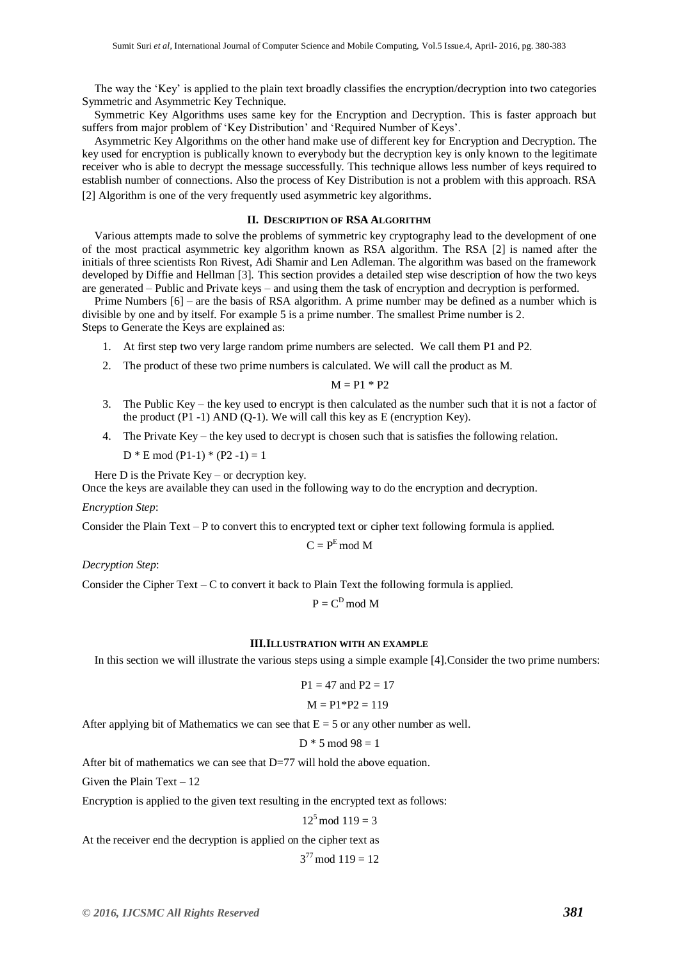The way the 'Key' is applied to the plain text broadly classifies the encryption/decryption into two categories Symmetric and Asymmetric Key Technique.

Symmetric Key Algorithms uses same key for the Encryption and Decryption. This is faster approach but suffers from major problem of 'Key Distribution' and 'Required Number of Keys'.

Asymmetric Key Algorithms on the other hand make use of different key for Encryption and Decryption. The key used for encryption is publically known to everybody but the decryption key is only known to the legitimate receiver who is able to decrypt the message successfully. This technique allows less number of keys required to establish number of connections. Also the process of Key Distribution is not a problem with this approach. RSA [2] Algorithm is one of the very frequently used asymmetric key algorithms.

#### **II. DESCRIPTION OF RSA ALGORITHM**

Various attempts made to solve the problems of symmetric key cryptography lead to the development of one of the most practical asymmetric key algorithm known as RSA algorithm. The RSA [2] is named after the initials of three scientists Ron Rivest, Adi Shamir and Len Adleman. The algorithm was based on the framework developed by Diffie and Hellman [3]. This section provides a detailed step wise description of how the two keys are generated – Public and Private keys – and using them the task of encryption and decryption is performed.

Prime Numbers [6] – are the basis of RSA algorithm. A prime number may be defined as a number which is divisible by one and by itself. For example 5 is a prime number. The smallest Prime number is 2.

Steps to Generate the Keys are explained as:

- 1. At first step two very large random prime numbers are selected. We call them P1 and P2.
- 2. The product of these two prime numbers is calculated. We will call the product as M.

$$
M = P1 * P2
$$

- 3. The Public Key the key used to encrypt is then calculated as the number such that it is not a factor of the product  $(P1 - 1)$  AND  $(Q-1)$ . We will call this key as E (encryption Key).
- 4. The Private Key the key used to decrypt is chosen such that is satisfies the following relation.

 $D * E \mod (P1-1) * (P2-1) = 1$ 

Here  $D$  is the Private Key – or decryption key.

Once the keys are available they can used in the following way to do the encryption and decryption.

#### *Encryption Step*:

Consider the Plain Text – P to convert this to encrypted text or cipher text following formula is applied.

$$
C = P^E \bmod M
$$

*Decryption Step*:

Consider the Cipher Text – C to convert it back to Plain Text the following formula is applied.

 $P = C^D \mod M$ 

#### **III.ILLUSTRATION WITH AN EXAMPLE**

In this section we will illustrate the various steps using a simple example [4].Consider the two prime numbers:

$$
P1 = 47
$$
 and  $P2 = 17$ 

$$
M = P1*P2 = 119
$$

After applying bit of Mathematics we can see that  $E = 5$  or any other number as well.

$$
D * 5 \bmod 98 = 1
$$

After bit of mathematics we can see that  $D=77$  will hold the above equation.

Given the Plain Text – 12

Encryption is applied to the given text resulting in the encrypted text as follows:

 $12^5 \text{ mod } 119 = 3$ 

At the receiver end the decryption is applied on the cipher text as

 $3^{77}$  mod  $119 = 12$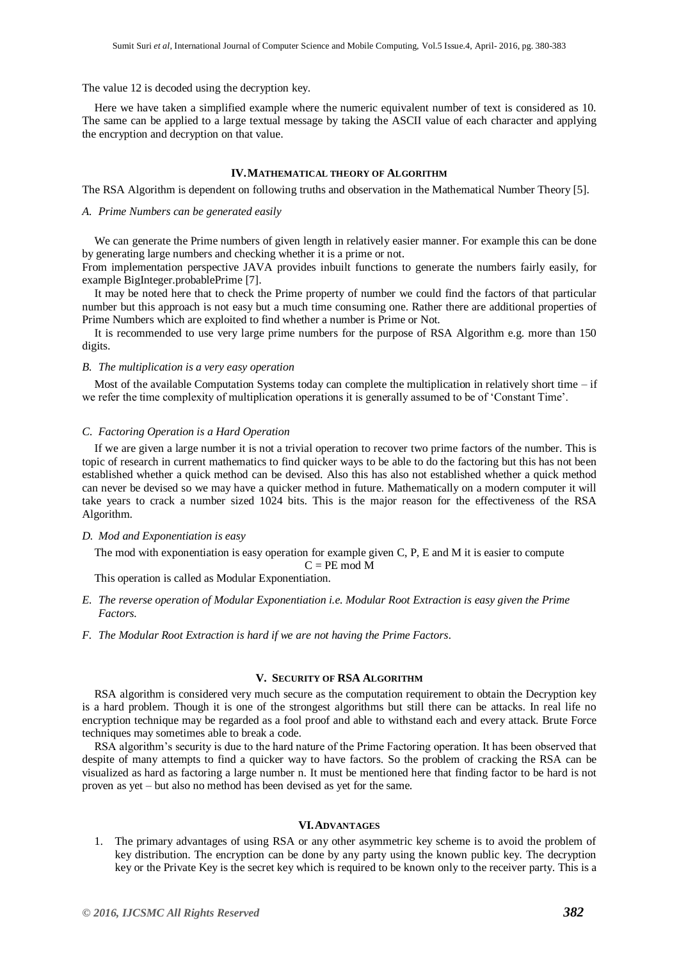#### The value 12 is decoded using the decryption key.

Here we have taken a simplified example where the numeric equivalent number of text is considered as 10. The same can be applied to a large textual message by taking the ASCII value of each character and applying the encryption and decryption on that value.

#### **IV.MATHEMATICAL THEORY OF ALGORITHM**

The RSA Algorithm is dependent on following truths and observation in the Mathematical Number Theory [5].

#### *A. Prime Numbers can be generated easily*

We can generate the Prime numbers of given length in relatively easier manner. For example this can be done by generating large numbers and checking whether it is a prime or not.

From implementation perspective JAVA provides inbuilt functions to generate the numbers fairly easily, for example BigInteger.probablePrime [7].

It may be noted here that to check the Prime property of number we could find the factors of that particular number but this approach is not easy but a much time consuming one. Rather there are additional properties of Prime Numbers which are exploited to find whether a number is Prime or Not.

It is recommended to use very large prime numbers for the purpose of RSA Algorithm e.g. more than 150 digits.

#### *B. The multiplication is a very easy operation*

Most of the available Computation Systems today can complete the multiplication in relatively short time  $-$  if we refer the time complexity of multiplication operations it is generally assumed to be of 'Constant Time'.

#### *C. Factoring Operation is a Hard Operation*

If we are given a large number it is not a trivial operation to recover two prime factors of the number. This is topic of research in current mathematics to find quicker ways to be able to do the factoring but this has not been established whether a quick method can be devised. Also this has also not established whether a quick method can never be devised so we may have a quicker method in future. Mathematically on a modern computer it will take years to crack a number sized 1024 bits. This is the major reason for the effectiveness of the RSA Algorithm.

#### *D. Mod and Exponentiation is easy*

The mod with exponentiation is easy operation for example given C, P, E and M it is easier to compute

 $C = PE \mod M$ 

This operation is called as Modular Exponentiation.

- *E. The reverse operation of Modular Exponentiation i.e. Modular Root Extraction is easy given the Prime Factors.*
- *F. The Modular Root Extraction is hard if we are not having the Prime Factors.*

# **V. SECURITY OF RSA ALGORITHM**

RSA algorithm is considered very much secure as the computation requirement to obtain the Decryption key is a hard problem. Though it is one of the strongest algorithms but still there can be attacks. In real life no encryption technique may be regarded as a fool proof and able to withstand each and every attack. Brute Force techniques may sometimes able to break a code.

RSA algorithm's security is due to the hard nature of the Prime Factoring operation. It has been observed that despite of many attempts to find a quicker way to have factors. So the problem of cracking the RSA can be visualized as hard as factoring a large number n. It must be mentioned here that finding factor to be hard is not proven as yet – but also no method has been devised as yet for the same.

#### **VI.ADVANTAGES**

1. The primary advantages of using RSA or any other asymmetric key scheme is to avoid the problem of key distribution. The encryption can be done by any party using the known public key. The decryption key or the Private Key is the secret key which is required to be known only to the receiver party. This is a